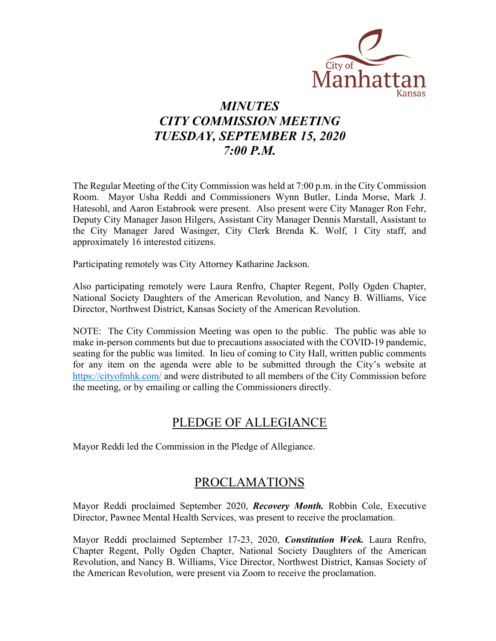

# *MINUTES CITY COMMISSION MEETING TUESDAY, SEPTEMBER 15, 2020 7:00 P.M.*

The Regular Meeting of the City Commission was held at 7:00 p.m. in the City Commission Room. Mayor Usha Reddi and Commissioners Wynn Butler, Linda Morse, Mark J. Hatesohl, and Aaron Estabrook were present. Also present were City Manager Ron Fehr, Deputy City Manager Jason Hilgers, Assistant City Manager Dennis Marstall, Assistant to the City Manager Jared Wasinger, City Clerk Brenda K. Wolf, 1 City staff, and approximately 16 interested citizens.

Participating remotely was City Attorney Katharine Jackson.

Also participating remotely were Laura Renfro, Chapter Regent, Polly Ogden Chapter, National Society Daughters of the American Revolution, and Nancy B. Williams, Vice Director, Northwest District, Kansas Society of the American Revolution.

NOTE: The City Commission Meeting was open to the public. The public was able to make in-person comments but due to precautions associated with the COVID-19 pandemic, seating for the public was limited. In lieu of coming to City Hall, written public comments for any item on the agenda were able to be submitted through the City's website at <https://cityofmhk.com/> and were distributed to all members of the City Commission before the meeting, or by emailing or calling the Commissioners directly.

## PLEDGE OF ALLEGIANCE

Mayor Reddi led the Commission in the Pledge of Allegiance.

## PROCLAMATIONS

Mayor Reddi proclaimed September 2020, *Recovery Month.* Robbin Cole, Executive Director, Pawnee Mental Health Services, was present to receive the proclamation.

Mayor Reddi proclaimed September 17-23, 2020, *Constitution Week.* Laura Renfro, Chapter Regent, Polly Ogden Chapter, National Society Daughters of the American Revolution, and Nancy B. Williams, Vice Director, Northwest District, Kansas Society of the American Revolution, were present via Zoom to receive the proclamation.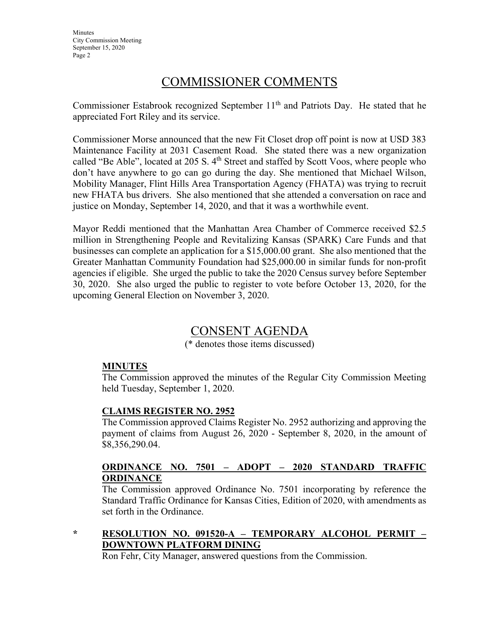**Minutes** City Commission Meeting September 15, 2020 Page 2

## COMMISSIONER COMMENTS

Commissioner Estabrook recognized September  $11<sup>th</sup>$  and Patriots Day. He stated that he appreciated Fort Riley and its service.

Commissioner Morse announced that the new Fit Closet drop off point is now at USD 383 Maintenance Facility at 2031 Casement Road. She stated there was a new organization called "Be Able", located at 205 S. 4<sup>th</sup> Street and staffed by Scott Voos, where people who don't have anywhere to go can go during the day. She mentioned that Michael Wilson, Mobility Manager, Flint Hills Area Transportation Agency (FHATA) was trying to recruit new FHATA bus drivers. She also mentioned that she attended a conversation on race and justice on Monday, September 14, 2020, and that it was a worthwhile event.

Mayor Reddi mentioned that the Manhattan Area Chamber of Commerce received \$2.5 million in Strengthening People and Revitalizing Kansas (SPARK) Care Funds and that businesses can complete an application for a \$15,000.00 grant. She also mentioned that the Greater Manhattan Community Foundation had \$25,000.00 in similar funds for non-profit agencies if eligible. She urged the public to take the 2020 Census survey before September 30, 2020. She also urged the public to register to vote before October 13, 2020, for the upcoming General Election on November 3, 2020.

# CONSENT AGENDA

(\* denotes those items discussed)

### **MINUTES**

The Commission approved the minutes of the Regular City Commission Meeting held Tuesday, September 1, 2020.

### **CLAIMS REGISTER NO. 2952**

The Commission approved Claims Register No. 2952 authorizing and approving the payment of claims from August 26, 2020 - September 8, 2020, in the amount of \$8,356,290.04.

### **ORDINANCE NO. 7501 – ADOPT – 2020 STANDARD TRAFFIC ORDINANCE**

The Commission approved Ordinance No. 7501 incorporating by reference the Standard Traffic Ordinance for Kansas Cities, Edition of 2020, with amendments as set forth in the Ordinance.

## **\* RESOLUTION NO. 091520-A – TEMPORARY ALCOHOL PERMIT – DOWNTOWN PLATFORM DINING**

Ron Fehr, City Manager, answered questions from the Commission.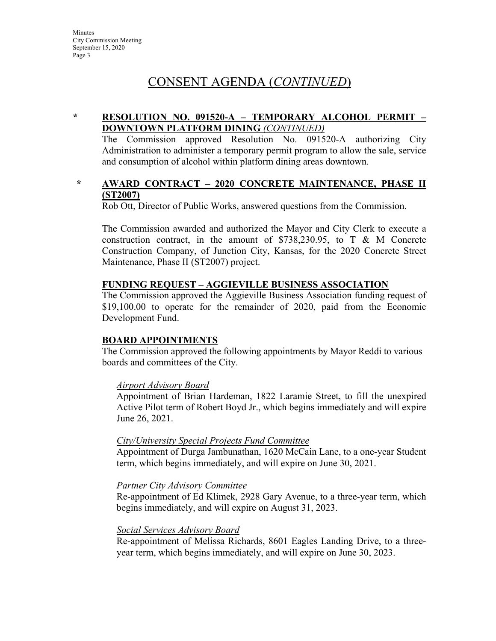## CONSENT AGENDA (*CONTINUED*)

### **\* RESOLUTION NO. 091520-A – TEMPORARY ALCOHOL PERMIT – DOWNTOWN PLATFORM DINING** *(CONTINUED)*

The Commission approved Resolution No. 091520-A authorizing City Administration to administer a temporary permit program to allow the sale, service and consumption of alcohol within platform dining areas downtown.

#### **\* AWARD CONTRACT – 2020 CONCRETE MAINTENANCE, PHASE II (ST2007)**

Rob Ott, Director of Public Works, answered questions from the Commission.

The Commission awarded and authorized the Mayor and City Clerk to execute a construction contract, in the amount of \$738,230.95, to T & M Concrete Construction Company, of Junction City, Kansas, for the 2020 Concrete Street Maintenance, Phase II (ST2007) project.

### **FUNDING REQUEST – AGGIEVILLE BUSINESS ASSOCIATION**

The Commission approved the Aggieville Business Association funding request of \$19,100.00 to operate for the remainder of 2020, paid from the Economic Development Fund.

### **BOARD APPOINTMENTS**

The Commission approved the following appointments by Mayor Reddi to various boards and committees of the City.

#### *Airport Advisory Board*

Appointment of Brian Hardeman, 1822 Laramie Street, to fill the unexpired Active Pilot term of Robert Boyd Jr., which begins immediately and will expire June 26, 2021.

#### *City/University Special Projects Fund Committee*

Appointment of Durga Jambunathan, 1620 McCain Lane, to a one-year Student term, which begins immediately, and will expire on June 30, 2021.

#### *Partner City Advisory Committee*

Re-appointment of Ed Klimek, 2928 Gary Avenue, to a three-year term, which begins immediately, and will expire on August 31, 2023.

#### *Social Services Advisory Board*

Re-appointment of Melissa Richards, 8601 Eagles Landing Drive, to a threeyear term, which begins immediately, and will expire on June 30, 2023.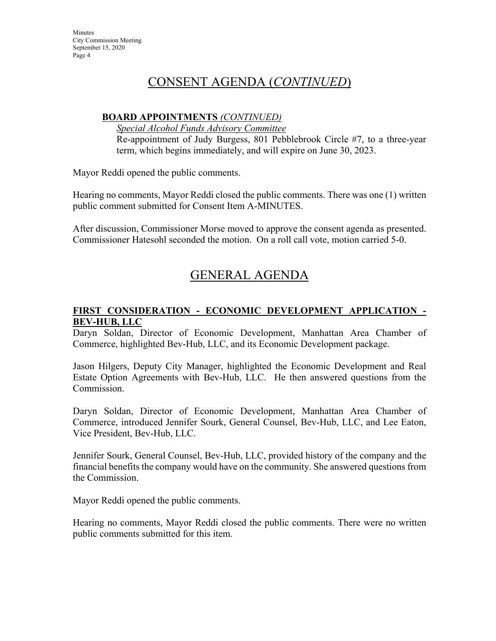## CONSENT AGENDA (*CONTINUED*)

## **BOARD APPOINTMENTS** *(CONTINUED)*

*Special Alcohol Funds Advisory Committee* Re-appointment of Judy Burgess, 801 Pebblebrook Circle #7, to a three-year term, which begins immediately, and will expire on June 30, 2023.

Mayor Reddi opened the public comments.

Hearing no comments, Mayor Reddi closed the public comments. There was one (1) written public comment submitted for Consent Item A-MINUTES.

After discussion, Commissioner Morse moved to approve the consent agenda as presented. Commissioner Hatesohl seconded the motion. On a roll call vote, motion carried 5-0.

# GENERAL AGENDA

## **FIRST CONSIDERATION - ECONOMIC DEVELOPMENT APPLICATION - BEV-HUB, LLC**

Daryn Soldan, Director of Economic Development, Manhattan Area Chamber of Commerce, highlighted Bev-Hub, LLC, and its Economic Development package.

Jason Hilgers, Deputy City Manager, highlighted the Economic Development and Real Estate Option Agreements with Bev-Hub, LLC. He then answered questions from the Commission.

Daryn Soldan, Director of Economic Development, Manhattan Area Chamber of Commerce, introduced Jennifer Sourk, General Counsel, Bev-Hub, LLC, and Lee Eaton, Vice President, Bev-Hub, LLC.

Jennifer Sourk, General Counsel, Bev-Hub, LLC, provided history of the company and the financial benefits the company would have on the community. She answered questions from the Commission.

Mayor Reddi opened the public comments.

Hearing no comments, Mayor Reddi closed the public comments. There were no written public comments submitted for this item.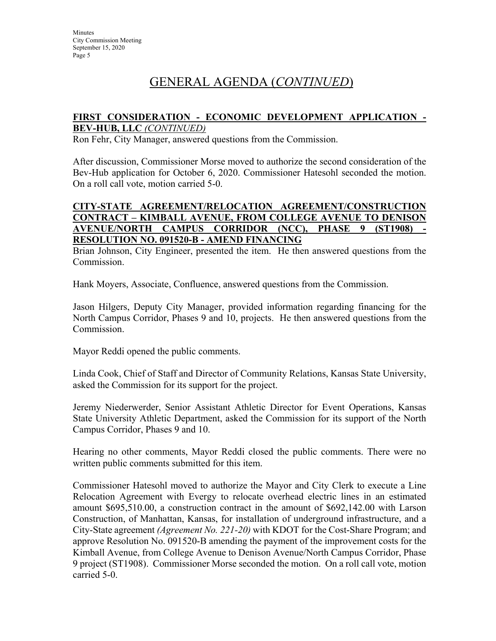# GENERAL AGENDA (*CONTINUED*)

#### **FIRST CONSIDERATION - ECONOMIC DEVELOPMENT APPLICATION - BEV-HUB, LLC** *(CONTINUED)*

Ron Fehr, City Manager, answered questions from the Commission.

After discussion, Commissioner Morse moved to authorize the second consideration of the Bev-Hub application for October 6, 2020. Commissioner Hatesohl seconded the motion. On a roll call vote, motion carried 5-0.

#### **CITY-STATE AGREEMENT/RELOCATION AGREEMENT/CONSTRUCTION CONTRACT – KIMBALL AVENUE, FROM COLLEGE AVENUE TO DENISON AVENUE/NORTH CAMPUS CORRIDOR (NCC), PHASE 9 (ST1908) - RESOLUTION NO. 091520-B - AMEND FINANCING**

Brian Johnson, City Engineer, presented the item. He then answered questions from the Commission.

Hank Moyers, Associate, Confluence, answered questions from the Commission.

Jason Hilgers, Deputy City Manager, provided information regarding financing for the North Campus Corridor, Phases 9 and 10, projects. He then answered questions from the Commission.

Mayor Reddi opened the public comments.

Linda Cook, Chief of Staff and Director of Community Relations, Kansas State University, asked the Commission for its support for the project.

Jeremy Niederwerder, Senior Assistant Athletic Director for Event Operations, Kansas State University Athletic Department, asked the Commission for its support of the North Campus Corridor, Phases 9 and 10.

Hearing no other comments, Mayor Reddi closed the public comments. There were no written public comments submitted for this item.

Commissioner Hatesohl moved to authorize the Mayor and City Clerk to execute a Line Relocation Agreement with Evergy to relocate overhead electric lines in an estimated amount \$695,510.00, a construction contract in the amount of \$692,142.00 with Larson Construction, of Manhattan, Kansas, for installation of underground infrastructure, and a City-State agreement *(Agreement No. 221-20)* with KDOT for the Cost-Share Program; and approve Resolution No. 091520-B amending the payment of the improvement costs for the Kimball Avenue, from College Avenue to Denison Avenue/North Campus Corridor, Phase 9 project (ST1908). Commissioner Morse seconded the motion. On a roll call vote, motion carried 5-0.